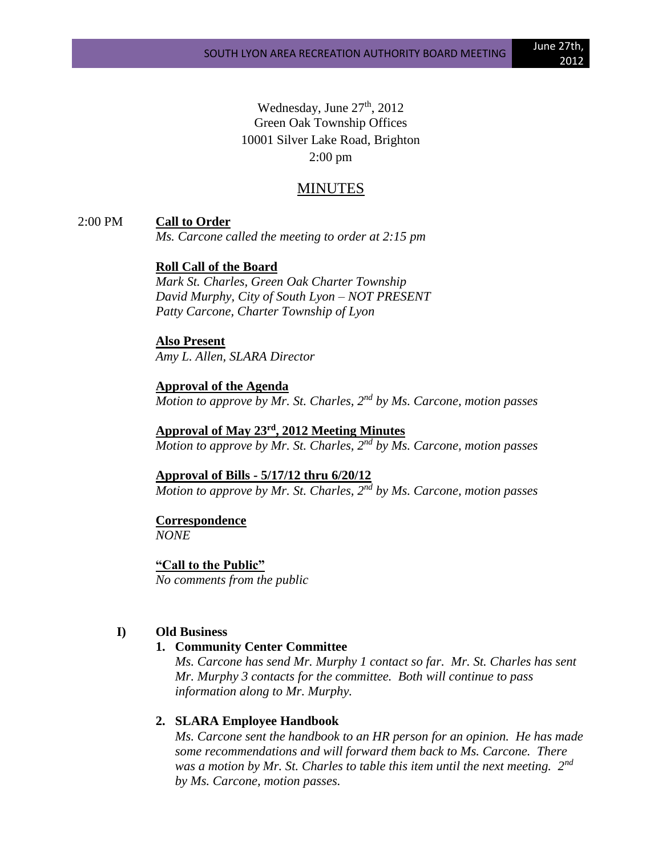Wednesday, June  $27<sup>th</sup>$ , 2012 Green Oak Township Offices 10001 Silver Lake Road, Brighton 2:00 pm

# MINUTES

### 2:00 PM **Call to Order**

*Ms. Carcone called the meeting to order at 2:15 pm*

# **Roll Call of the Board**

*Mark St. Charles, Green Oak Charter Township David Murphy, City of South Lyon – NOT PRESENT Patty Carcone, Charter Township of Lyon*

# **Also Present**

*Amy L. Allen, SLARA Director*

**Approval of the Agenda** *Motion to approve by Mr. St. Charles, 2nd by Ms. Carcone, motion passes*

**Approval of May 23rd , 2012 Meeting Minutes** *Motion to approve by Mr. St. Charles, 2nd by Ms. Carcone, motion passes*

**Approval of Bills - 5/17/12 thru 6/20/12** *Motion to approve by Mr. St. Charles, 2nd by Ms. Carcone, motion passes*

### **Correspondence**

*NONE*

**"Call to the Public"** *No comments from the public*

## **I) Old Business**

#### **1. Community Center Committee**

*Ms. Carcone has send Mr. Murphy 1 contact so far. Mr. St. Charles has sent Mr. Murphy 3 contacts for the committee. Both will continue to pass information along to Mr. Murphy.*

### **2. SLARA Employee Handbook**

*Ms. Carcone sent the handbook to an HR person for an opinion. He has made some recommendations and will forward them back to Ms. Carcone. There was a motion by Mr. St. Charles to table this item until the next meeting. 2nd by Ms. Carcone, motion passes.*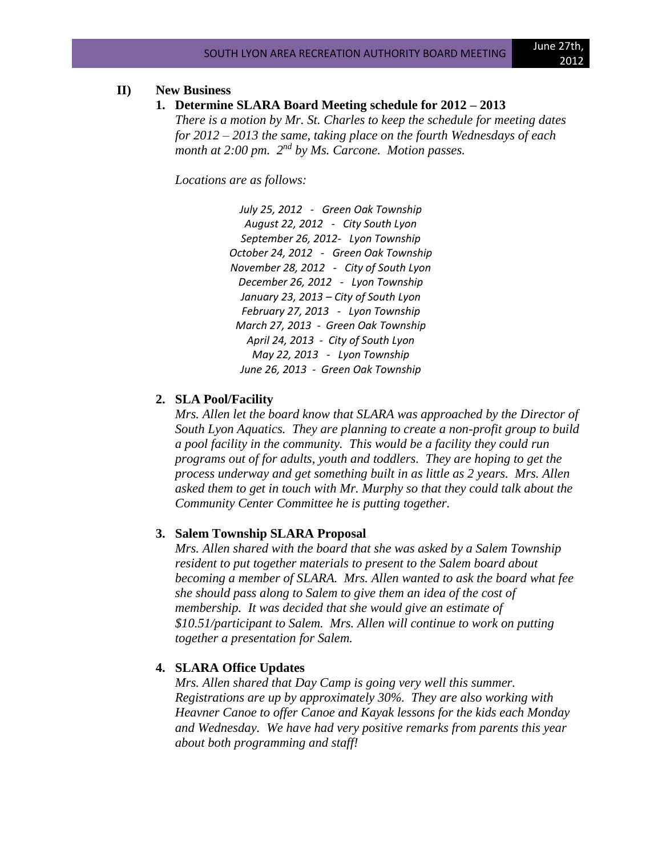# **II) New Business**

**1. Determine SLARA Board Meeting schedule for 2012 – 2013**

*There is a motion by Mr. St. Charles to keep the schedule for meeting dates for 2012 – 2013 the same, taking place on the fourth Wednesdays of each month at 2:00 pm. 2nd by Ms. Carcone. Motion passes.*

*Locations are as follows:*

*July 25, 2012 - Green Oak Township August 22, 2012 - City South Lyon September 26, 2012- Lyon Township October 24, 2012 - Green Oak Township November 28, 2012 - City of South Lyon December 26, 2012 - Lyon Township January 23, 2013 – City of South Lyon February 27, 2013 - Lyon Township March 27, 2013 - Green Oak Township April 24, 2013 - City of South Lyon May 22, 2013 - Lyon Township June 26, 2013 - Green Oak Township* 

# **2. SLA Pool/Facility**

*Mrs. Allen let the board know that SLARA was approached by the Director of South Lyon Aquatics. They are planning to create a non-profit group to build a pool facility in the community. This would be a facility they could run programs out of for adults, youth and toddlers. They are hoping to get the process underway and get something built in as little as 2 years. Mrs. Allen asked them to get in touch with Mr. Murphy so that they could talk about the Community Center Committee he is putting together.*

#### **3. Salem Township SLARA Proposal**

*Mrs. Allen shared with the board that she was asked by a Salem Township resident to put together materials to present to the Salem board about becoming a member of SLARA. Mrs. Allen wanted to ask the board what fee she should pass along to Salem to give them an idea of the cost of membership. It was decided that she would give an estimate of \$10.51/participant to Salem. Mrs. Allen will continue to work on putting together a presentation for Salem.*

#### **4. SLARA Office Updates**

*Mrs. Allen shared that Day Camp is going very well this summer. Registrations are up by approximately 30%. They are also working with Heavner Canoe to offer Canoe and Kayak lessons for the kids each Monday and Wednesday. We have had very positive remarks from parents this year about both programming and staff!*